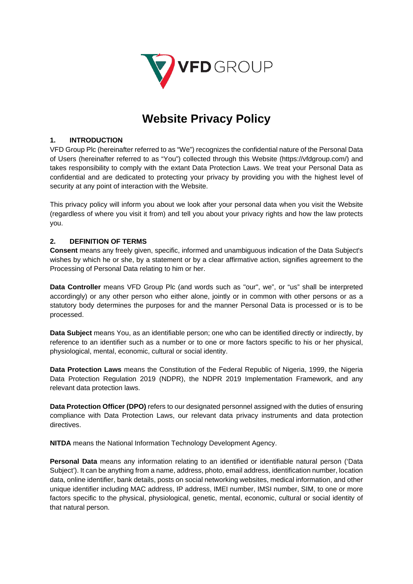

# **Website Privacy Policy**

## **1. INTRODUCTION**

VFD Group Plc (hereinafter referred to as "We") recognizes the confidential nature of the Personal Data of Users (hereinafter referred to as "You") collected through this Website (https://vfdgroup.com/) and takes responsibility to comply with the extant Data Protection Laws. We treat your Personal Data as confidential and are dedicated to protecting your privacy by providing you with the highest level of security at any point of interaction with the Website.

This privacy policy will inform you about we look after your personal data when you visit the Website (regardless of where you visit it from) and tell you about your privacy rights and how the law protects you.

## **2. DEFINITION OF TERMS**

**Consent** means any freely given, specific, informed and unambiguous indication of the Data Subject's wishes by which he or she, by a statement or by a clear affirmative action, signifies agreement to the Processing of Personal Data relating to him or her.

**Data Controller** means VFD Group Plc (and words such as "our", we", or "us" shall be interpreted accordingly) or any other person who either alone, jointly or in common with other persons or as a statutory body determines the purposes for and the manner Personal Data is processed or is to be processed.

**Data Subject** means You, as an identifiable person; one who can be identified directly or indirectly, by reference to an identifier such as a number or to one or more factors specific to his or her physical, physiological, mental, economic, cultural or social identity.

**Data Protection Laws** means the Constitution of the Federal Republic of Nigeria, 1999, the Nigeria Data Protection Regulation 2019 (NDPR), the NDPR 2019 Implementation Framework, and any relevant data protection laws.

**Data Protection Officer (DPO)** refers to our designated personnel assigned with the duties of ensuring compliance with Data Protection Laws, our relevant data privacy instruments and data protection directives.

**NITDA** means the National Information Technology Development Agency.

**Personal Data** means any information relating to an identified or identifiable natural person ('Data Subject'). It can be anything from a name, address, photo, email address, identification number, location data, online identifier, bank details, posts on social networking websites, medical information, and other unique identifier including MAC address, IP address, IMEI number, IMSI number, SIM, to one or more factors specific to the physical, physiological, genetic, mental, economic, cultural or social identity of that natural person.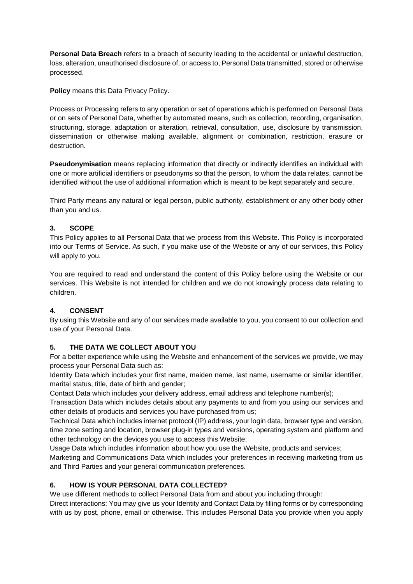**Personal Data Breach** refers to a breach of security leading to the accidental or unlawful destruction, loss, alteration, unauthorised disclosure of, or access to, Personal Data transmitted, stored or otherwise processed.

**Policy** means this Data Privacy Policy.

Process or Processing refers to any operation or set of operations which is performed on Personal Data or on sets of Personal Data, whether by automated means, such as collection, recording, organisation, structuring, storage, adaptation or alteration, retrieval, consultation, use, disclosure by transmission, dissemination or otherwise making available, alignment or combination, restriction, erasure or destruction.

**Pseudonymisation** means replacing information that directly or indirectly identifies an individual with one or more artificial identifiers or pseudonyms so that the person, to whom the data relates, cannot be identified without the use of additional information which is meant to be kept separately and secure.

Third Party means any natural or legal person, public authority, establishment or any other body other than you and us.

# **3. SCOPE**

This Policy applies to all Personal Data that we process from this Website. This Policy is incorporated into our Terms of Service. As such, if you make use of the Website or any of our services, this Policy will apply to you.

You are required to read and understand the content of this Policy before using the Website or our services. This Website is not intended for children and we do not knowingly process data relating to children.

# **4. CONSENT**

By using this Website and any of our services made available to you, you consent to our collection and use of your Personal Data.

# **5. THE DATA WE COLLECT ABOUT YOU**

For a better experience while using the Website and enhancement of the services we provide, we may process your Personal Data such as:

Identity Data which includes your first name, maiden name, last name, username or similar identifier, marital status, title, date of birth and gender;

Contact Data which includes your delivery address, email address and telephone number(s);

Transaction Data which includes details about any payments to and from you using our services and other details of products and services you have purchased from us;

Technical Data which includes internet protocol (IP) address, your login data, browser type and version, time zone setting and location, browser plug-in types and versions, operating system and platform and other technology on the devices you use to access this Website;

Usage Data which includes information about how you use the Website, products and services;

Marketing and Communications Data which includes your preferences in receiving marketing from us and Third Parties and your general communication preferences.

# **6. HOW IS YOUR PERSONAL DATA COLLECTED?**

We use different methods to collect Personal Data from and about you including through:

Direct interactions: You may give us your Identity and Contact Data by filling forms or by corresponding with us by post, phone, email or otherwise. This includes Personal Data you provide when you apply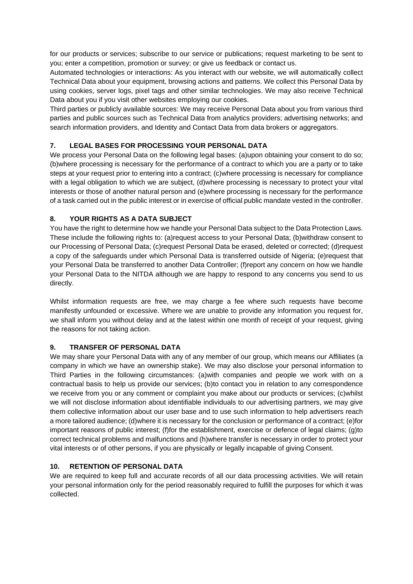for our products or services; subscribe to our service or publications; request marketing to be sent to you; enter a competition, promotion or survey; or give us feedback or contact us.

Automated technologies or interactions: As you interact with our website, we will automatically collect Technical Data about your equipment, browsing actions and patterns. We collect this Personal Data by using cookies, server logs, pixel tags and other similar technologies. We may also receive Technical Data about you if you visit other websites employing our cookies.

Third parties or publicly available sources: We may receive Personal Data about you from various third parties and public sources such as Technical Data from analytics providers; advertising networks; and search information providers, and Identity and Contact Data from data brokers or aggregators.

# **7. LEGAL BASES FOR PROCESSING YOUR PERSONAL DATA**

We process your Personal Data on the following legal bases: (a)upon obtaining your consent to do so; (b)where processing is necessary for the performance of a contract to which you are a party or to take steps at your request prior to entering into a contract; (c)where processing is necessary for compliance with a legal obligation to which we are subject, (d)where processing is necessary to protect your vital interests or those of another natural person and (e)where processing is necessary for the performance of a task carried out in the public interest or in exercise of official public mandate vested in the controller.

## **8. YOUR RIGHTS AS A DATA SUBJECT**

You have the right to determine how we handle your Personal Data subject to the Data Protection Laws. These include the following rights to: (a)request access to your Personal Data; (b)withdraw consent to our Processing of Personal Data; (c)request Personal Data be erased, deleted or corrected; (d)request a copy of the safeguards under which Personal Data is transferred outside of Nigeria; (e)request that your Personal Data be transferred to another Data Controller; (f)report any concern on how we handle your Personal Data to the NITDA although we are happy to respond to any concerns you send to us directly.

Whilst information requests are free, we may charge a fee where such requests have become manifestly unfounded or excessive. Where we are unable to provide any information you request for, we shall inform you without delay and at the latest within one month of receipt of your request, giving the reasons for not taking action.

#### **9. TRANSFER OF PERSONAL DATA**

We may share your Personal Data with any of any member of our group, which means our Affiliates (a company in which we have an ownership stake). We may also disclose your personal information to Third Parties in the following circumstances: (a)with companies and people we work with on a contractual basis to help us provide our services; (b)to contact you in relation to any correspondence we receive from you or any comment or complaint you make about our products or services; (c)whilst we will not disclose information about identifiable individuals to our advertising partners, we may give them collective information about our user base and to use such information to help advertisers reach a more tailored audience; (d)where it is necessary for the conclusion or performance of a contract; (e)for important reasons of public interest; (f)for the establishment, exercise or defence of legal claims; (g)to correct technical problems and malfunctions and (h)where transfer is necessary in order to protect your vital interests or of other persons, if you are physically or legally incapable of giving Consent.

## **10. RETENTION OF PERSONAL DATA**

We are required to keep full and accurate records of all our data processing activities. We will retain your personal information only for the period reasonably required to fulfill the purposes for which it was collected.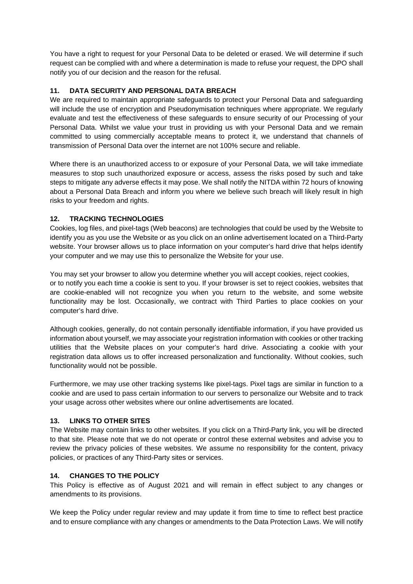You have a right to request for your Personal Data to be deleted or erased. We will determine if such request can be complied with and where a determination is made to refuse your request, the DPO shall notify you of our decision and the reason for the refusal.

## **11. DATA SECURITY AND PERSONAL DATA BREACH**

We are required to maintain appropriate safeguards to protect your Personal Data and safeguarding will include the use of encryption and Pseudonymisation techniques where appropriate. We regularly evaluate and test the effectiveness of these safeguards to ensure security of our Processing of your Personal Data. Whilst we value your trust in providing us with your Personal Data and we remain committed to using commercially acceptable means to protect it, we understand that channels of transmission of Personal Data over the internet are not 100% secure and reliable.

Where there is an unauthorized access to or exposure of your Personal Data, we will take immediate measures to stop such unauthorized exposure or access, assess the risks posed by such and take steps to mitigate any adverse effects it may pose. We shall notify the NITDA within 72 hours of knowing about a Personal Data Breach and inform you where we believe such breach will likely result in high risks to your freedom and rights.

## **12. TRACKING TECHNOLOGIES**

Cookies, log files, and pixel-tags (Web beacons) are technologies that could be used by the Website to identify you as you use the Website or as you click on an online advertisement located on a Third-Party website. Your browser allows us to place information on your computer's hard drive that helps identify your computer and we may use this to personalize the Website for your use.

You may set your browser to allow you determine whether you will accept cookies, reject cookies, or to notify you each time a cookie is sent to you. If your browser is set to reject cookies, websites that are cookie-enabled will not recognize you when you return to the website, and some website functionality may be lost. Occasionally, we contract with Third Parties to place cookies on your computer's hard drive.

Although cookies, generally, do not contain personally identifiable information, if you have provided us information about yourself, we may associate your registration information with cookies or other tracking utilities that the Website places on your computer's hard drive. Associating a cookie with your registration data allows us to offer increased personalization and functionality. Without cookies, such functionality would not be possible.

Furthermore, we may use other tracking systems like pixel-tags. Pixel tags are similar in function to a cookie and are used to pass certain information to our servers to personalize our Website and to track your usage across other websites where our online advertisements are located.

#### **13. LINKS TO OTHER SITES**

The Website may contain links to other websites. If you click on a Third-Party link, you will be directed to that site. Please note that we do not operate or control these external websites and advise you to review the privacy policies of these websites. We assume no responsibility for the content, privacy policies, or practices of any Third-Party sites or services.

#### **14. CHANGES TO THE POLICY**

This Policy is effective as of August 2021 and will remain in effect subject to any changes or amendments to its provisions.

We keep the Policy under regular review and may update it from time to time to reflect best practice and to ensure compliance with any changes or amendments to the Data Protection Laws. We will notify